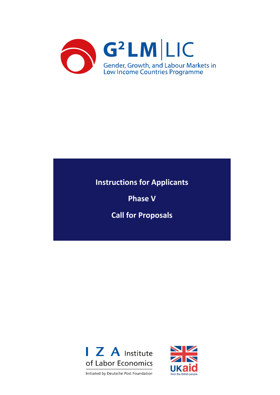

# **Instructions for Applicants**

**Phase V**

**Call for Proposals**



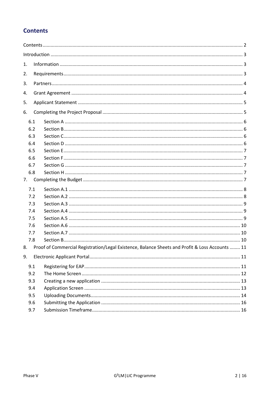# <span id="page-1-0"></span>**Contents**

| 1. |     |                                                                                                 |  |  |  |  |
|----|-----|-------------------------------------------------------------------------------------------------|--|--|--|--|
| 2. |     |                                                                                                 |  |  |  |  |
| 3. |     |                                                                                                 |  |  |  |  |
| 4. |     |                                                                                                 |  |  |  |  |
| 5. |     |                                                                                                 |  |  |  |  |
| 6. |     |                                                                                                 |  |  |  |  |
|    |     |                                                                                                 |  |  |  |  |
|    | 6.1 |                                                                                                 |  |  |  |  |
|    | 6.2 |                                                                                                 |  |  |  |  |
|    | 6.3 |                                                                                                 |  |  |  |  |
|    | 6.4 |                                                                                                 |  |  |  |  |
|    | 6.5 |                                                                                                 |  |  |  |  |
|    | 6.6 |                                                                                                 |  |  |  |  |
|    | 6.7 |                                                                                                 |  |  |  |  |
|    | 6.8 |                                                                                                 |  |  |  |  |
| 7. |     |                                                                                                 |  |  |  |  |
|    | 7.1 |                                                                                                 |  |  |  |  |
|    | 7.2 |                                                                                                 |  |  |  |  |
|    | 7.3 |                                                                                                 |  |  |  |  |
|    | 7.4 |                                                                                                 |  |  |  |  |
|    | 7.5 |                                                                                                 |  |  |  |  |
|    | 7.6 |                                                                                                 |  |  |  |  |
|    | 7.7 |                                                                                                 |  |  |  |  |
|    | 7.8 |                                                                                                 |  |  |  |  |
| 8. |     | Proof of Commercial Registration/Legal Existence, Balance Sheets and Profit & Loss Accounts  11 |  |  |  |  |
| 9. |     |                                                                                                 |  |  |  |  |
|    | 9.1 |                                                                                                 |  |  |  |  |
|    | 9.2 |                                                                                                 |  |  |  |  |
|    | 9.3 |                                                                                                 |  |  |  |  |
|    | 9.4 |                                                                                                 |  |  |  |  |
|    | 9.5 |                                                                                                 |  |  |  |  |
|    | 9.6 |                                                                                                 |  |  |  |  |
|    | 9.7 |                                                                                                 |  |  |  |  |
|    |     |                                                                                                 |  |  |  |  |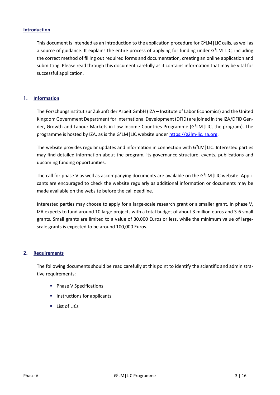#### <span id="page-2-0"></span>**Introduction**

This document is intended as an introduction to the application procedure for  $G^2LM$  | LIC calls, as well as a source of guidance. It explains the entire process of applying for funding under G²LM|LIC, including the correct method of filling out required forms and documentation, creating an online application and submitting. Please read through this document carefully as it contains information that may be vital for successful application.

#### <span id="page-2-1"></span>1. **Information**

The Forschungsinstitut zur Zukunft der Arbeit GmbH (IZA – Institute of Labor Economics) and the United Kingdom Government Department for International Development (DFID) are joined in the IZA/DFID Gender, Growth and Labour Markets in Low Income Countries Programme (G²LM|LIC, the program). The programme is hosted by IZA, as is the G²LM|LIC website under [https://g2lm-lic.iza.org.](https://g2lm-lic.iza.org/)

The website provides regular updates and information in connection with G²LM|LIC. Interested parties may find detailed information about the program, its governance structure, events, publications and upcoming funding opportunities.

The call for phase V as well as accompanying documents are available on the G²LM|LIC website. Applicants are encouraged to check the website regularly as additional information or documents may be made available on the website before the call deadline.

Interested parties may choose to apply for a large-scale research grant or a smaller grant. In phase V, IZA expects to fund around 10 large projects with a total budget of about 3 million euros and 3-6 small grants. Small grants are limited to a value of 30,000 Euros or less, while the minimum value of largescale grants is expected to be around 100,000 Euros.

#### <span id="page-2-2"></span>2. **Requirements**

The following documents should be read carefully at this point to identify the scientific and administrative requirements:

- **Phase V Specifications**
- $\blacksquare$  Instructions for applicants
- **List of LICs**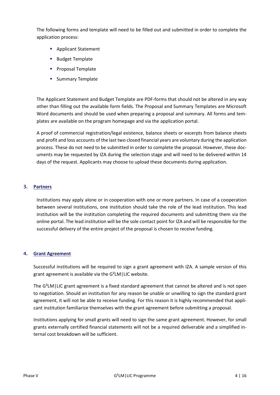The following forms and template will need to be filled out and submitted in order to complete the application process:

- **Applicant Statement**
- **Budget Template**
- **Proposal Template**
- **Summary Template**

The Applicant Statement and Budget Template are PDF-forms that should not be altered in any way other than filling out the available form fields. The Proposal and Summary Templates are Microsoft Word documents and should be used when preparing a proposal and summary. All forms and templates are available on the program homepage and via the application portal.

A proof of commercial registration/legal existence, balance sheets or excerpts from balance sheets and profit and loss accounts of the last two closed financial years are voluntary during the application process. These do not need to be submitted in order to complete the proposal. However, these documents may be requested by IZA during the selection stage and will need to be delivered within 14 days of the request. Applicants may choose to upload these documents during application.

#### <span id="page-3-0"></span>3. **Partners**

Institutions may apply alone or in cooperation with one or more partners. In case of a cooperation between several institutions, one institution should take the role of the lead institution. This lead institution will be the institution completing the required documents and submitting them via the online portal. The lead institution will be the sole contact point for IZA and will be responsible for the successful delivery of the entire project of the proposal is chosen to receive funding.

# <span id="page-3-1"></span>4. **Grant Agreement**

Successful institutions will be required to sign a grant agreement with IZA. A sample version of this grant agreement is available via the G²LM|LIC website.

The G²LM|LIC grant agreement is a fixed standard agreement that cannot be altered and is not open to negotiation. Should an institution for any reason be unable or unwilling to sign the standard grant agreement, it will not be able to receive funding. For this reason it is highly recommended that applicant institution familiarize themselves with the grant agreement before submitting a proposal.

Institutions applying for small grants will need to sign the same grant agreement. However, for small grants externally certified financial statements will not be a required deliverable and a simplified internal cost breakdown will be sufficient.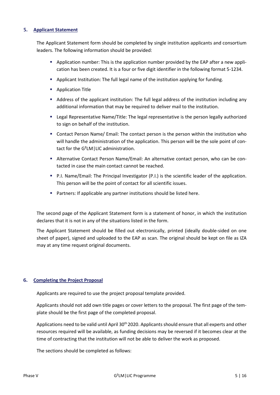#### <span id="page-4-0"></span>5. **Applicant Statement**

The Applicant Statement form should be completed by single institution applicants and consortium leaders. The following information should be provided:

- Application number: This is the application number provided by the EAP after a new application has been created. It is a four or five digit identifier in the following format 5-1234.
- Applicant Institution: The full legal name of the institution applying for funding.
- **Application Title**
- Address of the applicant institution: The full legal address of the institution including any additional information that may be required to deliver mail to the institution.
- Legal Representative Name/Title: The legal representative is the person legally authorized to sign on behalf of the institution.
- Contact Person Name/ Email: The contact person is the person within the institution who will handle the administration of the application. This person will be the sole point of contact for the G²LM|LIC administration.
- Alternative Contact Person Name/Email: An alternative contact person, who can be contacted in case the main contact cannot be reached.
- P.I. Name/Email: The Principal Investigator (P.I.) is the scientific leader of the application. This person will be the point of contact for all scientific issues.
- Partners: If applicable any partner institutions should be listed here.

The second page of the Applicant Statement form is a statement of honor, in which the institution declares that it is not in any of the situations listed in the form.

The Applicant Statement should be filled out electronically, printed (ideally double-sided on one sheet of paper), signed and uploaded to the EAP as scan. The original should be kept on file as IZA may at any time request original documents.

# <span id="page-4-1"></span>6. **Completing the Project Proposal**

Applicants are required to use the project proposal template provided.

Applicants should not add own title pages or cover letters to the proposal. The first page of the template should be the first page of the completed proposal.

Applications need to be valid until April 30<sup>th</sup> 2020. Applicants should ensure that all experts and other resources required will be available, as funding decisions may be reversed if it becomes clear at the time of contracting that the institution will not be able to deliver the work as proposed.

The sections should be completed as follows: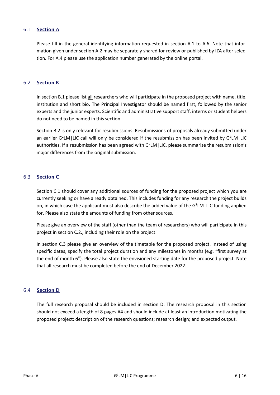# <span id="page-5-0"></span>6.1 Section A

Please fill in the general identifying information requested in section A.1 to A.6. Note that information given under section A.2 may be separately shared for review or published by IZA after selection. For A.4 please use the application number generated by the online portal.

#### <span id="page-5-1"></span>6.2 Section B

In section B.1 please list all researchers who will participate in the proposed project with name, title, institution and short bio. The Principal Investigator should be named first, followed by the senior experts and the junior experts. Scientific and administrative support staff, interns or student helpers do not need to be named in this section.

Section B.2 is only relevant for resubmissions. Resubmissions of proposals already submitted under an earlier G<sup>2</sup>LM | LIC call will only be considered if the resubmission has been invited by G<sup>2</sup>LM | LIC authorities. If a resubmission has been agreed with G²LM|LIC, please summarize the resubmission's major differences from the original submission.

#### <span id="page-5-2"></span>6.3 Section C

Section C.1 should cover any additional sources of funding for the proposed project which you are currently seeking or have already obtained. This includes funding for any research the project builds on, in which case the applicant must also describe the added value of the G<sup>2</sup>LM | LIC funding applied for. Please also state the amounts of funding from other sources.

Please give an overview of the staff (other than the team of researchers) who will participate in this project in section C.2., including their role on the project.

In section C.3 please give an overview of the timetable for the proposed project. Instead of using specific dates, specify the total project duration and any milestones in months (e.g. "first survey at the end of month 6"). Please also state the envisioned starting date for the proposed project. Note that all research must be completed before the end of December 2022.

#### <span id="page-5-3"></span>6.4 Section D

The full research proposal should be included in section D. The research proposal in this section should not exceed a length of 8 pages A4 and should include at least an introduction motivating the proposed project; description of the research questions; research design; and expected output.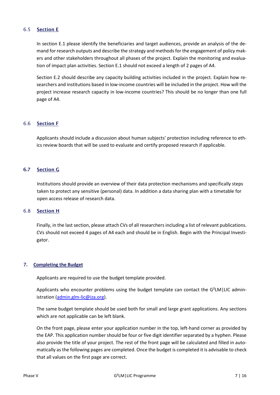# <span id="page-6-0"></span>6.5 Section E

In section E.1 please identify the beneficiaries and target audiences, provide an analysis of the demand for research outputs and describe the strategy and methods for the engagement of policy makers and other stakeholders throughout all phases of the project. Explain the monitoring and evaluation of impact plan activities. Section E.1 should not exceed a length of 2 pages of A4.

Section E.2 should describe any capacity building activities included in the project. Explain how researchers and institutions based in low-income countries will be included in the project. How will the project increase research capacity in low-income countries? This should be no longer than one full page of A4.

# <span id="page-6-1"></span>6.6 Section F

Applicants should include a discussion about human subjects' protection including reference to ethics review boards that will be used to evaluate and certify proposed research if applicable.

# <span id="page-6-2"></span>6.7 Section G

Institutions should provide an overview of their data protection mechanisms and specifically steps taken to protect any sensitive (personal) data. In addition a data sharing plan with a timetable for open access release of research data.

# <span id="page-6-3"></span>6.8 Section H

Finally, in the last section, please attach CVs of all researchers including a list of relevant publications. CVs should not exceed 4 pages of A4 each and should be in English. Begin with the Principal Investigator.

# <span id="page-6-4"></span>7. **Completing the Budget**

Applicants are required to use the budget template provided.

Applicants who encounter problems using the budget template can contact the G<sup>2</sup>LM | LIC admin-istration [\(admin.glm-lic@iza.org\)](mailto:admin.glm-lic@iza.org).

The same budget template should be used both for small and large grant applications. Any sections which are not applicable can be left blank.

On the front page, please enter your application number in the top, left-hand corner as provided by the EAP. This application number should be four or five digit identifier separated by a hyphen. Please also provide the title of your project. The rest of the front page will be calculated and filled in automatically as the following pages are completed. Once the budget is completed it is advisable to check that all values on the first page are correct.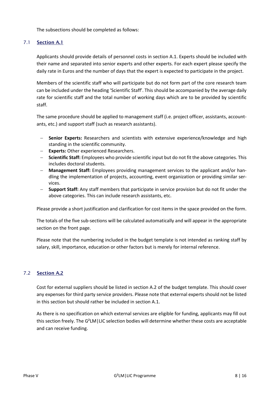The subsections should be completed as follows:

# <span id="page-7-0"></span>7.1 Section A.1

Applicants should provide details of personnel costs in section A.1. Experts should be included with their name and separated into senior experts and other experts. For each expert please specify the daily rate in Euros and the number of days that the expert is expected to participate in the project.

Members of the scientific staff who will participate but do not form part of the core research team can be included under the heading 'Scientific Staff'. This should be accompanied by the average daily rate for scientific staff and the total number of working days which are to be provided by scientific staff.

The same procedure should be applied to management staff (i.e. project officer, assistants, accountants, etc.) and support staff (such as research assistants).

- − **Senior Experts:** Researchers and scientists with extensive experience/knowledge and high standing in the scientific community.
- − **Experts:** Other experienced Researchers.
- − **Scientific Staff:** Employees who provide scientific input but do not fit the above categories. This includes doctoral students.
- − **Management Staff:** Employees providing management services to the applicant and/or handling the implementation of projects, accounting, event organization or providing similar services.
- − **Support Staff:** Any staff members that participate in service provision but do not fit under the above categories. This can include research assistants, etc.

Please provide a short justification and clarification for cost items in the space provided on the form.

The totals of the five sub-sections will be calculated automatically and will appear in the appropriate section on the front page.

Please note that the numbering included in the budget template is not intended as ranking staff by salary, skill, importance, education or other factors but is merely for internal reference.

# <span id="page-7-1"></span>7.2 Section A.2

Cost for external suppliers should be listed in section A.2 of the budget template. This should cover any expenses for third party service providers. Please note that external experts should not be listed in this section but should rather be included in section A.1.

As there is no specification on which external services are eligible for funding, applicants may fill out this section freely. The G²LM|LIC selection bodies will determine whether these costs are acceptable and can receive funding.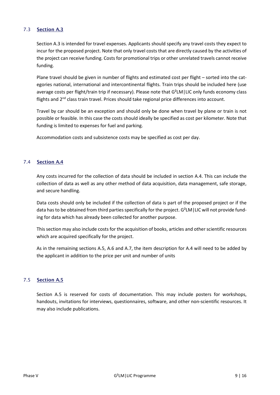# <span id="page-8-0"></span>7.3 Section A.3

Section A.3 is intended for travel expenses. Applicants should specify any travel costs they expect to incur for the proposed project. Note that only travel costs that are directly caused by the activities of the project can receive funding. Costs for promotional trips or other unrelated travels cannot receive funding.

Plane travel should be given in number of flights and estimated cost per flight – sorted into the categories national, international and intercontinental flights. Train trips should be included here (use average costs per flight/train trip if necessary). Please note that G<sup>2</sup>LM | LIC only funds economy class flights and 2<sup>nd</sup> class train travel. Prices should take regional price differences into account.

Travel by car should be an exception and should only be done when travel by plane or train is not possible or feasible. In this case the costs should ideally be specified as cost per kilometer. Note that funding is limited to expenses for fuel and parking.

Accommodation costs and subsistence costs may be specified as cost per day.

# <span id="page-8-1"></span>7.4 Section A.4

Any costs incurred for the collection of data should be included in section A.4. This can include the collection of data as well as any other method of data acquisition, data management, safe storage, and secure handling.

Data costs should only be included if the collection of data is part of the proposed project or if the data has to be obtained from third parties specifically for the project. G<sup>2</sup>LM | LIC will not provide funding for data which has already been collected for another purpose.

This section may also include costs for the acquisition of books, articles and other scientific resources which are acquired specifically for the project.

As in the remaining sections A.5, A.6 and A.7, the item description for A.4 will need to be added by the applicant in addition to the price per unit and number of units

# <span id="page-8-2"></span>7.5 Section A.5

Section A.5 is reserved for costs of documentation. This may include posters for workshops, handouts, invitations for interviews, questionnaires, software, and other non-scientific resources. It may also include publications.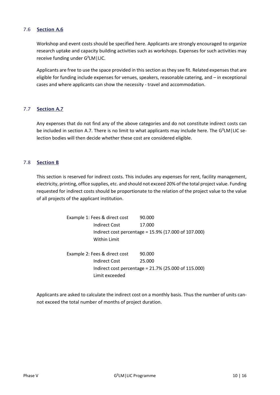# <span id="page-9-0"></span>7.6 Section A.6

Workshop and event costs should be specified here. Applicants are strongly encouraged to organize research uptake and capacity building activities such as workshops. Expenses for such activities may receive funding under G²LM|LIC.

Applicants are free to use the space provided in this section as they see fit. Related expenses that are eligible for funding include expenses for venues, speakers, reasonable catering, and – in exceptional cases and where applicants can show the necessity - travel and accommodation.

#### <span id="page-9-1"></span>7.7 Section A.7

Any expenses that do not find any of the above categories and do not constitute indirect costs can be included in section A.7. There is no limit to what applicants may include here. The G<sup>2</sup>LM | LIC selection bodies will then decide whether these cost are considered eligible.

#### <span id="page-9-2"></span>7.8 Section B

This section is reserved for indirect costs. This includes any expenses for rent, facility management, electricity, printing, office supplies, etc. and should not exceed 20% of the total project value. Funding requested for indirect costs should be proportionate to the relation of the project value to the value of all projects of the applicant institution.

> Example 1: Fees & direct cost 90.000 Indirect Cost 17.000 Indirect cost percentage = 15.9% (17.000 of 107.000) Within Limit Example 2: Fees & direct cost 90.000 Indirect Cost 25.000 Indirect cost percentage = 21.7% (25.000 of 115.000) Limit exceeded

Applicants are asked to calculate the indirect cost on a monthly basis. Thus the number of units cannot exceed the total number of months of project duration.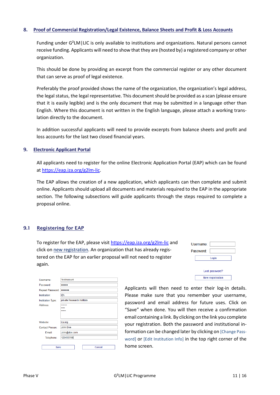#### <span id="page-10-0"></span>8. **Proof of Commercial Registration/Legal Existence, Balance Sheets and Profit & Loss Accounts**

Funding under G²LM|LIC is only available to institutions and organizations. Natural persons cannot receive funding. Applicants will need to show that they are (hosted by) a registered company or other organization.

This should be done by providing an excerpt from the commercial register or any other document that can serve as proof of legal existence.

Preferably the proof provided shows the name of the organization, the organization's legal address, the legal status, the legal representative. This document should be provided as a scan (please ensure that it is easily legible) and is the only document that may be submitted in a language other than English. Where this document is not written in the English language, please attach a working translation directly to the document.

In addition successful applicants will need to provide excerpts from balance sheets and profit and loss accounts for the last two closed financial years.

#### <span id="page-10-1"></span>9. **Electronic Applicant Portal**

All applicants need to register for the online Electronic Application Portal (EAP) which can be found at [https://eap.iza.org/g2lm-lic.](https://eap.iza.org/g2lm-lic)

The EAP allows the creation of a new application, which applicants can then complete and submit online. Applicants should upload all documents and materials required to the EAP in the appropriate section. The following subsections will guide applicants through the steps required to complete a proposal online.

#### <span id="page-10-2"></span>9.1 Registering for EAP

To register for the EAP, please visi[t https://eap.iza.org/g2lm-lic](https://eap.iza.org/g2lm-lic) and click on new registration. An organization that has already registered on the EAP for an earlier proposal will not need to register again.

| Username: |                         |
|-----------|-------------------------|
| Password: |                         |
|           | Login                   |
|           | Lost password?          |
|           | <b>New registration</b> |

| Username:                | <b>TestAccount</b>         |  |  |  |
|--------------------------|----------------------------|--|--|--|
| Password:                |                            |  |  |  |
| Repeat Password:         |                            |  |  |  |
| Institution:             | <b>IZA</b>                 |  |  |  |
| <b>Institution Type:</b> | private Research Institute |  |  |  |
| Address:                 | ******<br>****<br>*****    |  |  |  |
| Website:                 | iza.org                    |  |  |  |
| <b>Contact Person:</b>   | <b>John Doe</b>            |  |  |  |
| Email:<br>John@doe.com   |                            |  |  |  |
| 123456789<br>Telephone:  |                            |  |  |  |
| Save                     | Cancel                     |  |  |  |

Applicants will then need to enter their log-in details. Please make sure that you remember your username, password and email address for future uses. Click on "Save" when done. You will then receive a confirmation email containing a link. By clicking on the link you complete your registration. Both the password and institutional information can be changed later by clicking on [Change Password] or [Edit Institution Info] in the top right corner of the home screen.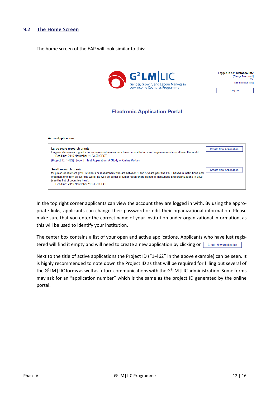#### <span id="page-11-0"></span>9.2 The Home Screen

The home screen of the EAP will look similar to this:





# **Electronic Application Portal**



In the top right corner applicants can view the account they are logged in with. By using the appropriate links, applicants can change their password or edit their organizational information. Please make sure that you enter the correct name of your institution under organizational information, as this will be used to identify your institution.

The center box contains a list of your open and active applications. Applicants who have just registered will find it empty and will need to create a new application by clicking on create New Application

Next to the title of active applications the Project ID ("1-462" in the above example) can be seen. It is highly recommended to note down the Project ID as that will be required for filling out several of the G²LM|LIC forms as well as future communications with the G²LM|LIC administration. Some forms may ask for an "application number" which is the same as the project ID generated by the online portal.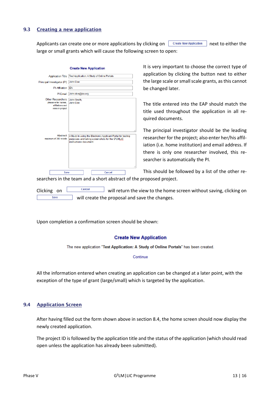# <span id="page-12-0"></span>9.3 Creating a new application

Applicants can create one or more applications by clicking on  $\Box$  Create New Application next to either the large or small grants which will cause the following screen to open:

|                                                                                         | <b>Create New Application</b>                                                                                                              |     |
|-----------------------------------------------------------------------------------------|--------------------------------------------------------------------------------------------------------------------------------------------|-----|
| <b>Application Title</b>                                                                | Test Application: A Study of Online Portals                                                                                                |     |
| Principal Investigator (PI)                                                             | <b>John Doe</b>                                                                                                                            |     |
| <b>PI</b> Affiliation                                                                   | <b>IZA</b>                                                                                                                                 |     |
| PI Email                                                                                | John.doe@iza.org                                                                                                                           |     |
| <b>Other Researchers</b><br>please enter names.<br>affiliations and<br>roles in project | John Smith.<br>Jane Doe                                                                                                                    | .ii |
| Abstract<br>maximum of 300 words                                                        | A Study in using the Electronic Applicant Portal for testing<br>purposes and taking screenshots for the G2LM(LIC<br>instructions document. | .:i |
| Save                                                                                    | Cancel                                                                                                                                     |     |
|                                                                                         | coarchors in tho toam and a short ahstract of the                                                                                          |     |

It is very important to choose the correct type of application by clicking the button next to either the large scale or small scale grants, as this cannot be changed later.

The title entered into the EAP should match the title used throughout the application in all required documents.

The principal investigator should be the leading researcher for the project; also enter her/his affiliation (i.e. home institution) and email address. If there is only one researcher involved, this researcher is automatically the PI.

This should be followed by a list of the other re-

searchers in the team and a short abstract of the proposed project.

Clicking on  $\Box$  Cancel will return the view to the home screen without saving, clicking on Save will create the proposal and save the changes.

Upon completion a confirmation screen should be shown:

#### **Create New Application**

The new application "Test Application: A Study of Online Portals" has been created.

Continue

All the information entered when creating an application can be changed at a later point, with the exception of the type of grant (large/small) which is targeted by the application.

#### <span id="page-12-1"></span>9.4 Application Screen

After having filled out the form shown above in section 8.4, the home screen should now display the newly created application.

The project ID is followed by the application title and the status of the application (which should read open unless the application has already been submitted).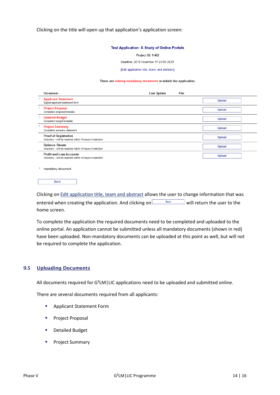Clicking on the title will open up that application's application screen:

#### **Test Application: A Study of Online Portals**

Project ID: 1-462

Deadline: 2019 November 11 23:59 CEST

#### [Edit application title, team, and abstract]

#### There are missing mandatory documents to submit the application.

|         | <b>Document</b>                                                                             | <b>Last Update</b> | File |               |  |
|---------|---------------------------------------------------------------------------------------------|--------------------|------|---------------|--|
|         | <b>Applicant Statement</b><br>Signed applicant statement form                               |                    |      | <b>Upload</b> |  |
| $\star$ | <b>Project Proposal</b><br>Completed proposal template                                      |                    |      | <b>Upload</b> |  |
|         | <b>Detailed Budget</b><br>Completed budget template                                         |                    |      | <b>Upload</b> |  |
|         | <b>Project Summary</b><br>Completed summary statement                                       |                    |      | <b>Upload</b> |  |
|         | <b>Proof of Registration</b><br>Voluntary - will be required within 14 days of selection    |                    |      | <b>Upload</b> |  |
|         | <b>Balance Sheets</b><br>Voluntary - will be required within 14 days of selection           |                    |      | <b>Upload</b> |  |
|         | <b>Profit and Loss Accounts</b><br>Voluntary - will be required within 14 days of selection |                    |      | <b>Upload</b> |  |

mandatory document

|--|

Clicking on Edit application title, team and abstract allows the user to change information that was entered when creating the application. And clicking on  $\sqrt{\frac{Back}{Back}}$  will return the user to the home screen.

To complete the application the required documents need to be completed and uploaded to the online portal. An application cannot be submitted unless all mandatory documents (shown in red) have been uploaded. Non-mandatory documents can be uploaded at this point as well, but will not be required to complete the application.

#### <span id="page-13-0"></span>9.5 Uploading Documents

All documents required for G²LM|LIC applications need to be uploaded and submitted online.

There are several documents required from all applicants:

- **Applicant Statement Form**
- Project Proposal
- **•** Detailed Budget
- **Project Summary**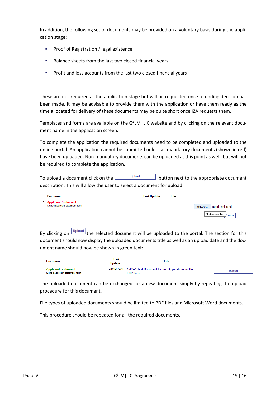In addition, the following set of documents may be provided on a voluntary basis during the application stage:

- Proof of Registration / legal existence
- Balance sheets from the last two closed financial years
- **Profit and loss accounts from the last two closed financial years**

These are not required at the application stage but will be requested once a funding decision has been made. It may be advisable to provide them with the application or have them ready as the time allocated for delivery of these documents may be quite short once IZA requests them.

Templates and forms are available on the G²LM|LIC website and by clicking on the relevant document name in the application screen.

To complete the application the required documents need to be completed and uploaded to the online portal. An application cannot be submitted unless all mandatory documents (shown in red) have been uploaded. Non-mandatory documents can be uploaded at this point as well, but will not be required to complete the application.

To upload a document click on the  $\Box$  upload button next to the appropriate document description. This will allow the user to select a document for upload:

| <b>Document</b>                                          | <b>Last Update</b> | File |                            |
|----------------------------------------------------------|--------------------|------|----------------------------|
| * Applicant Statement<br>Signed applicant statement form |                    |      | Browse   No file selected. |
|                                                          |                    |      | No file selected. Cancel   |

By clicking on  $\boxed{\frac{Upload}{P}}$  the selected document will be uploaded to the portal. The section for this document should now display the uploaded documents title as well as an upload date and the document name should now be shown in green text:

| <b>Document</b>                                          | Last<br><b>Update</b> | File                                                           |               |
|----------------------------------------------------------|-----------------------|----------------------------------------------------------------|---------------|
| * Applicant Statement<br>Signed applicant statement form | 2019-07-29            | 1-462-1-Test Document for Test Applications on the<br>EAP docx | <b>Upload</b> |

The uploaded document can be exchanged for a new document simply by repeating the upload procedure for this document.

File types of uploaded documents should be limited to PDF files and Microsoft Word documents.

This procedure should be repeated for all the required documents.